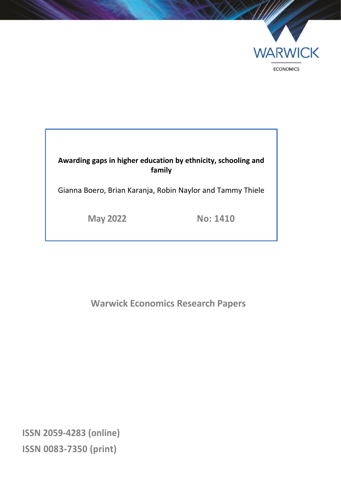

## **Awarding gaps in higher education by ethnicity, schooling and family**

Gianna Boero, Brian Karanja, Robin Naylor and Tammy Thiele

**May 2022 No: 1410**

**Warwick Economics Research Papers**

**ISSN 2059-4283 (online) ISSN 0083-7350 (print)**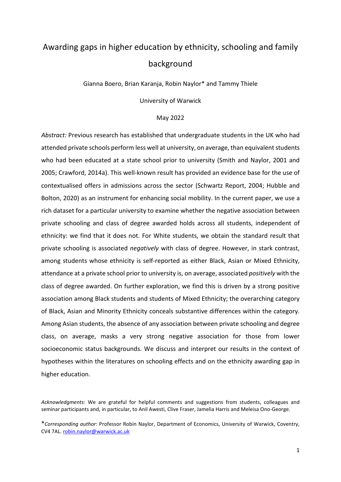# Awarding gaps in higher education by ethnicity, schooling and family background

Gianna Boero, Brian Karanja, Robin Naylor\* and Tammy Thiele

University of Warwick

#### May 2022

*Abstract:* Previous research has established that undergraduate students in the UK who had attended private schools perform less well at university, on average, than equivalent students who had been educated at a state school prior to university (Smith and Naylor, 2001 and 2005; Crawford, 2014a). This well-known result has provided an evidence base for the use of contextualised offers in admissions across the sector (Schwartz Report, 2004; Hubble and Bolton, 2020) as an instrument for enhancing social mobility. In the current paper, we use a rich dataset for a particular university to examine whether the negative association between private schooling and class of degree awarded holds across all students, independent of ethnicity: we find that it does not. For White students, we obtain the standard result that private schooling is associated *negatively* with class of degree. However, in stark contrast, among students whose ethnicity is self-reported as either Black, Asian or Mixed Ethnicity, attendance at a private school prior to university is, on average, associated *positively* with the class of degree awarded. On further exploration, we find this is driven by a strong positive association among Black students and students of Mixed Ethnicity; the overarching category of Black, Asian and Minority Ethnicity conceals substantive differences within the category. Among Asian students, the absence of any association between private schooling and degree class, on average, masks a very strong negative association for those from lower socioeconomic status backgrounds. We discuss and interpret our results in the context of hypotheses within the literatures on schooling effects and on the ethnicity awarding gap in higher education.

*Acknowledgments*: We are grateful for helpful comments and suggestions from students, colleagues and seminar participants and, in particular, to Anil Awesti, Clive Fraser, Jamelia Harris and Meleisa Ono-George.

<sup>\*</sup>*Corresponding author*: Professor Robin Naylor, Department of Economics, University of Warwick, Coventry, CV4 7AL. [robin.naylor@warwick.ac.uk](mailto:robin.naylor@warwick.ac.uk)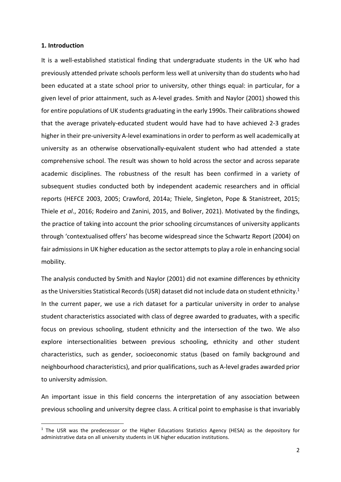#### **1. Introduction**

It is a well-established statistical finding that undergraduate students in the UK who had previously attended private schools perform less well at university than do students who had been educated at a state school prior to university, other things equal: in particular, for a given level of prior attainment, such as A-level grades. Smith and Naylor (2001) showed this for entire populations of UK students graduating in the early 1990s. Their calibrations showed that the average privately-educated student would have had to have achieved 2-3 grades higher in their pre-university A-level examinations in order to perform as well academically at university as an otherwise observationally-equivalent student who had attended a state comprehensive school. The result was shown to hold across the sector and across separate academic disciplines. The robustness of the result has been confirmed in a variety of subsequent studies conducted both by independent academic researchers and in official reports (HEFCE 2003, 2005; Crawford, 2014a; Thiele, Singleton, Pope & Stanistreet, 2015; Thiele *et al*., 2016; Rodeiro and Zanini, 2015, and Boliver, 2021). Motivated by the findings, the practice of taking into account the prior schooling circumstances of university applicants through 'contextualised offers' has become widespread since the Schwartz Report (2004) on fair admissions in UK higher education as the sector attempts to play a role in enhancing social mobility.

The analysis conducted by Smith and Naylor (2001) did not examine differences by ethnicity as the Universities Statistical Records (USR) dataset did not include data on student ethnicity.<sup>1</sup> In the current paper, we use a rich dataset for a particular university in order to analyse student characteristics associated with class of degree awarded to graduates, with a specific focus on previous schooling, student ethnicity and the intersection of the two. We also explore intersectionalities between previous schooling, ethnicity and other student characteristics, such as gender, socioeconomic status (based on family background and neighbourhood characteristics), and prior qualifications, such as A-level grades awarded prior to university admission.

An important issue in this field concerns the interpretation of any association between previous schooling and university degree class. A critical point to emphasise is that invariably

<sup>&</sup>lt;sup>1</sup> The USR was the predecessor or the Higher Educations Statistics Agency (HESA) as the depository for administrative data on all university students in UK higher education institutions.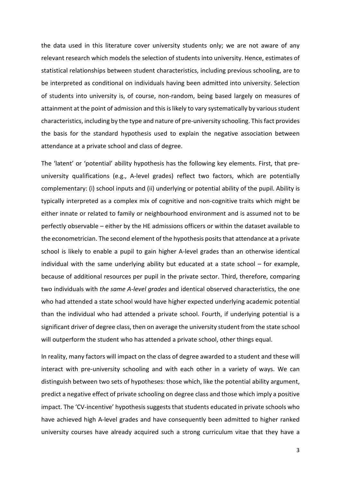the data used in this literature cover university students only; we are not aware of any relevant research which models the selection of students into university. Hence, estimates of statistical relationships between student characteristics, including previous schooling, are to be interpreted as conditional on individuals having been admitted into university. Selection of students into university is, of course, non-random, being based largely on measures of attainment at the point of admission and this is likely to vary systematically by various student characteristics, including by the type and nature of pre-university schooling. This fact provides the basis for the standard hypothesis used to explain the negative association between attendance at a private school and class of degree.

The 'latent' or 'potential' ability hypothesis has the following key elements. First, that preuniversity qualifications (e.g., A-level grades) reflect two factors, which are potentially complementary: (i) school inputs and (ii) underlying or potential ability of the pupil. Ability is typically interpreted as a complex mix of cognitive and non-cognitive traits which might be either innate or related to family or neighbourhood environment and is assumed not to be perfectly observable – either by the HE admissions officers or within the dataset available to the econometrician. The second element of the hypothesis posits that attendance at a private school is likely to enable a pupil to gain higher A-level grades than an otherwise identical individual with the same underlying ability but educated at a state school – for example, because of additional resources per pupil in the private sector. Third, therefore, comparing two individuals with *the same A-level grades* and identical observed characteristics, the one who had attended a state school would have higher expected underlying academic potential than the individual who had attended a private school. Fourth, if underlying potential is a significant driver of degree class, then on average the university student from the state school will outperform the student who has attended a private school, other things equal.

In reality, many factors will impact on the class of degree awarded to a student and these will interact with pre-university schooling and with each other in a variety of ways. We can distinguish between two sets of hypotheses: those which, like the potential ability argument, predict a negative effect of private schooling on degree class and those which imply a positive impact. The 'CV-incentive' hypothesis suggests that students educated in private schools who have achieved high A-level grades and have consequently been admitted to higher ranked university courses have already acquired such a strong curriculum vitae that they have a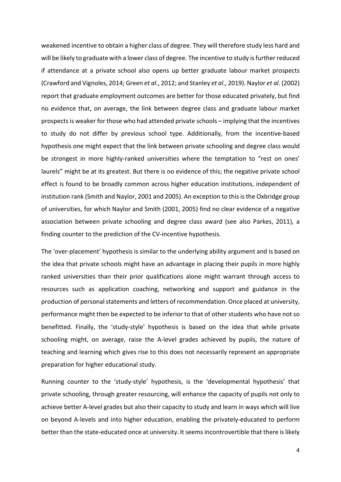weakened incentive to obtain a higher class of degree. They will therefore study less hard and will be likely to graduate with a lower class of degree. The incentive to study is further reduced if attendance at a private school also opens up better graduate labour market prospects (Crawford and Vignoles, 2014; Green *et al*., 2012; and Stanley *et al*., 2019). Naylor *et al*. (2002) report that graduate employment outcomes are better for those educated privately, but find no evidence that, on average, the link between degree class and graduate labour market prospects is weaker for those who had attended private schools – implying that the incentives to study do not differ by previous school type. Additionally, from the incentive-based hypothesis one might expect that the link between private schooling and degree class would be strongest in more highly-ranked universities where the temptation to "rest on ones' laurels" might be at its greatest. But there is no evidence of this; the negative private school effect is found to be broadly common across higher education institutions, independent of institution rank (Smith and Naylor, 2001 and 2005). An exception to this is the Oxbridge group of universities, for which Naylor and Smith (2001, 2005) find no clear evidence of a negative association between private schooling and degree class award (see also Parkes, 2011), a finding counter to the prediction of the CV-incentive hypothesis.

The 'over-placement' hypothesis is similar to the underlying ability argument and is based on the idea that private schools might have an advantage in placing their pupils in more highly ranked universities than their prior qualifications alone might warrant through access to resources such as application coaching, networking and support and guidance in the production of personal statements and letters of recommendation. Once placed at university, performance might then be expected to be inferior to that of other students who have not so benefitted. Finally, the 'study-style' hypothesis is based on the idea that while private schooling might, on average, raise the A-level grades achieved by pupils, the nature of teaching and learning which gives rise to this does not necessarily represent an appropriate preparation for higher educational study.

Running counter to the 'study-style' hypothesis, is the 'developmental hypothesis' that private schooling, through greater resourcing, will enhance the capacity of pupils not only to achieve better A-level grades but also their capacity to study and learn in ways which will live on beyond A-levels and into higher education, enabling the privately-educated to perform better than the state-educated once at university. It seems incontrovertible that there is likely

4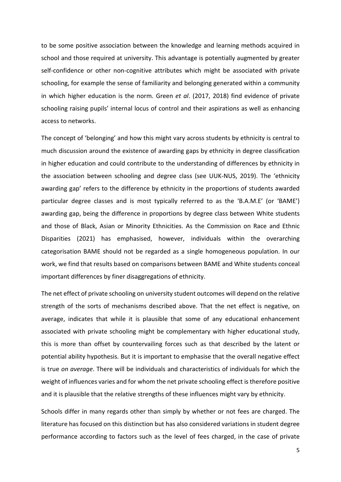to be some positive association between the knowledge and learning methods acquired in school and those required at university. This advantage is potentially augmented by greater self-confidence or other non-cognitive attributes which might be associated with private schooling, for example the sense of familiarity and belonging generated within a community in which higher education is the norm. Green *et al*. (2017, 2018) find evidence of private schooling raising pupils' internal locus of control and their aspirations as well as enhancing access to networks.

The concept of 'belonging' and how this might vary across students by ethnicity is central to much discussion around the existence of awarding gaps by ethnicity in degree classification in higher education and could contribute to the understanding of differences by ethnicity in the association between schooling and degree class (see UUK-NUS, 2019). The 'ethnicity awarding gap' refers to the difference by ethnicity in the proportions of students awarded particular degree classes and is most typically referred to as the 'B.A.M.E' (or 'BAME') awarding gap, being the difference in proportions by degree class between White students and those of Black, Asian or Minority Ethnicities. As the Commission on Race and Ethnic Disparities (2021) has emphasised, however, individuals within the overarching categorisation BAME should not be regarded as a single homogeneous population. In our work, we find that results based on comparisons between BAME and White students conceal important differences by finer disaggregations of ethnicity.

The net effect of private schooling on university student outcomes will depend on the relative strength of the sorts of mechanisms described above. That the net effect is negative, on average, indicates that while it is plausible that some of any educational enhancement associated with private schooling might be complementary with higher educational study, this is more than offset by countervailing forces such as that described by the latent or potential ability hypothesis. But it is important to emphasise that the overall negative effect is true *on average*. There will be individuals and characteristics of individuals for which the weight of influences varies and for whom the net private schooling effect is therefore positive and it is plausible that the relative strengths of these influences might vary by ethnicity.

Schools differ in many regards other than simply by whether or not fees are charged. The literature has focused on this distinction but has also considered variations in student degree performance according to factors such as the level of fees charged, in the case of private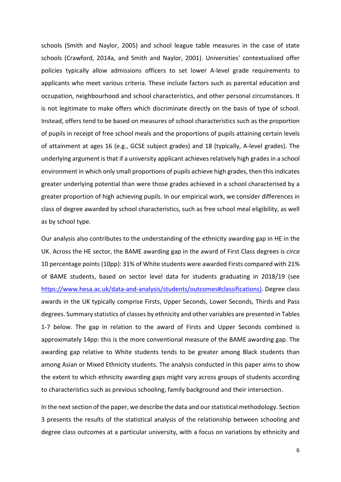schools (Smith and Naylor, 2005) and school league table measures in the case of state schools (Crawford, 2014a, and Smith and Naylor, 2001). Universities' contextualised offer policies typically allow admissions officers to set lower A-level grade requirements to applicants who meet various criteria. These include factors such as parental education and occupation, neighbourhood and school characteristics, and other personal circumstances. It is not legitimate to make offers which discriminate directly on the basis of type of school. Instead, offers tend to be based on measures of school characteristics such as the proportion of pupils in receipt of free school meals and the proportions of pupils attaining certain levels of attainment at ages 16 (e.g., GCSE subject grades) and 18 (typically, A-level grades). The underlying argument is that if a university applicant achieves relatively high grades in a school environment in which only small proportions of pupils achieve high grades, then this indicates greater underlying potential than were those grades achieved in a school characterised by a greater proportion of high achieving pupils. In our empirical work, we consider differences in class of degree awarded by school characteristics, such as free school meal eligibility, as well as by school type.

Our analysis also contributes to the understanding of the ethnicity awarding gap in HE in the UK. Across the HE sector, the BAME awarding gap in the award of First Class degrees is *circa* 10 percentage points (10pp): 31% of White students were awarded Firsts compared with 21% of BAME students, based on sector level data for students graduating in 2018/19 (see [https://www.hesa.ac.uk/data-and-analysis/students/outcomes#classifications\)](https://www.hesa.ac.uk/data-and-analysis/students/outcomes%23classifications.). Degree class awards in the UK typically comprise Firsts, Upper Seconds, Lower Seconds, Thirds and Pass degrees. Summary statistics of classes by ethnicity and other variables are presented in Tables 1-7 below. The gap in relation to the award of Firsts and Upper Seconds combined is approximately 14pp: this is the more conventional measure of the BAME awarding gap. The awarding gap relative to White students tends to be greater among Black students than among Asian or Mixed Ethnicity students. The analysis conducted in this paper aims to show the extent to which ethnicity awarding gaps might vary across groups of students according to characteristics such as previous schooling, family background and their intersection.

In the next section of the paper, we describe the data and our statistical methodology. Section 3 presents the results of the statistical analysis of the relationship between schooling and degree class outcomes at a particular university, with a focus on variations by ethnicity and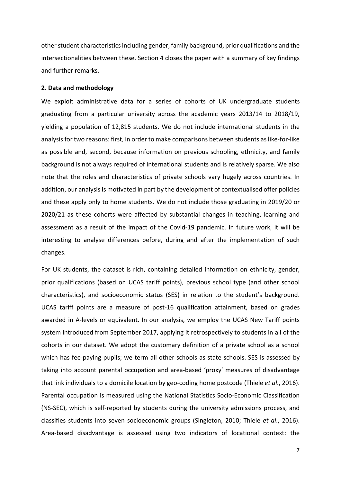other student characteristics including gender, family background, prior qualifications and the intersectionalities between these. Section 4 closes the paper with a summary of key findings and further remarks.

#### **2. Data and methodology**

We exploit administrative data for a series of cohorts of UK undergraduate students graduating from a particular university across the academic years 2013/14 to 2018/19, yielding a population of 12,815 students. We do not include international students in the analysis for two reasons: first, in order to make comparisons between students as like-for-like as possible and, second, because information on previous schooling, ethnicity, and family background is not always required of international students and is relatively sparse. We also note that the roles and characteristics of private schools vary hugely across countries. In addition, our analysis is motivated in part by the development of contextualised offer policies and these apply only to home students. We do not include those graduating in 2019/20 or 2020/21 as these cohorts were affected by substantial changes in teaching, learning and assessment as a result of the impact of the Covid-19 pandemic. In future work, it will be interesting to analyse differences before, during and after the implementation of such changes.

For UK students, the dataset is rich, containing detailed information on ethnicity, gender, prior qualifications (based on UCAS tariff points), previous school type (and other school characteristics), and socioeconomic status (SES) in relation to the student's background. UCAS tariff points are a measure of post-16 qualification attainment, based on grades awarded in A-levels or equivalent. In our analysis, we employ the UCAS New Tariff points system introduced from September 2017, applying it retrospectively to students in all of the cohorts in our dataset. We adopt the customary definition of a private school as a school which has fee-paying pupils; we term all other schools as state schools. SES is assessed by taking into account parental occupation and area-based 'proxy' measures of disadvantage that link individuals to a domicile location by geo-coding home postcode (Thiele *et al*., 2016). Parental occupation is measured using the National Statistics Socio-Economic Classification (NS-SEC), which is self-reported by students during the university admissions process, and classifies students into seven socioeconomic groups (Singleton, 2010; Thiele *et al*., 2016). Area-based disadvantage is assessed using two indicators of locational context: the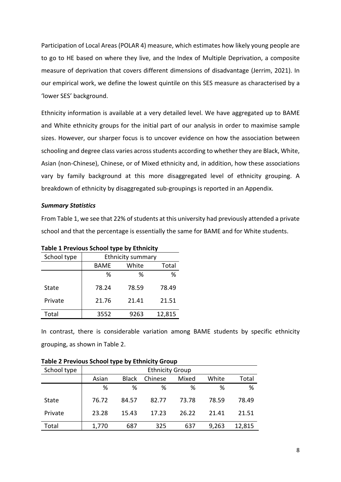Participation of Local Areas (POLAR 4) measure, which estimates how likely young people are to go to HE based on where they live, and the Index of Multiple Deprivation, a composite measure of deprivation that covers different dimensions of disadvantage (Jerrim, 2021). In our empirical work, we define the lowest quintile on this SES measure as characterised by a 'lower SES' background.

Ethnicity information is available at a very detailed level. We have aggregated up to BAME and White ethnicity groups for the initial part of our analysis in order to maximise sample sizes. However, our sharper focus is to uncover evidence on how the association between schooling and degree class varies across students according to whether they are Black, White, Asian (non-Chinese), Chinese, or of Mixed ethnicity and, in addition, how these associations vary by family background at this more disaggregated level of ethnicity grouping. A breakdown of ethnicity by disaggregated sub-groupings is reported in an Appendix.

#### *Summary Statistics*

From Table 1, we see that 22% of students at this university had previously attended a private school and that the percentage is essentially the same for BAME and for White students.

| School type |             | <b>Ethnicity summary</b> |        |
|-------------|-------------|--------------------------|--------|
|             | <b>BAME</b> | White                    | Total  |
|             | %           | %                        | %      |
| State       | 78.24       | 78.59                    | 78.49  |
| Private     | 21.76       | 21.41                    | 21.51  |
| Total       | 3552        | 9263                     | 12,815 |

**Table 1 Previous School type by Ethnicity** 

In contrast, there is considerable variation among BAME students by specific ethnicity grouping, as shown in Table 2.

| Table 2 TTCVIOUS SCHOOL CYPC MY EGITIOUCY STOUP |       |              |                        |       |       |        |
|-------------------------------------------------|-------|--------------|------------------------|-------|-------|--------|
| School type                                     |       |              | <b>Ethnicity Group</b> |       |       |        |
|                                                 | Asian | <b>Black</b> | Chinese                | Mixed | White | Total  |
|                                                 | %     | %            | %                      | %     | %     | %      |
| <b>State</b>                                    | 76.72 | 84.57        | 82.77                  | 73.78 | 78.59 | 78.49  |
| Private                                         | 23.28 | 15.43        | 17.23                  | 26.22 | 21.41 | 21.51  |
| Total                                           | 1,770 | 687          | 325                    | 637   | 9,263 | 12,815 |

**Table 2 Previous School type by Ethnicity Group**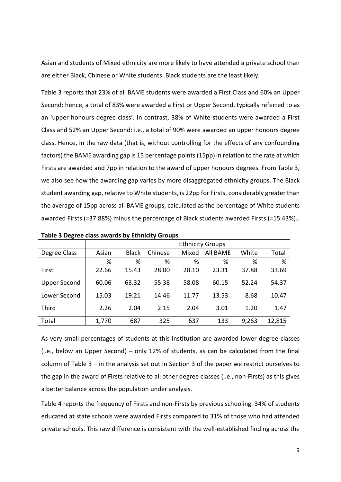Asian and students of Mixed ethnicity are more likely to have attended a private school than are either Black, Chinese or White students. Black students are the least likely.

Table 3 reports that 23% of all BAME students were awarded a First Class and 60% an Upper Second: hence, a total of 83% were awarded a First or Upper Second, typically referred to as an 'upper honours degree class'. In contrast, 38% of White students were awarded a First Class and 52% an Upper Second: i.e., a total of 90% were awarded an upper honours degree class. Hence, in the raw data (that is, without controlling for the effects of any confounding factors) the BAME awarding gap is 15 percentage points (15pp) in relation to the rate at which Firsts are awarded and 7pp in relation to the award of upper honours degrees. From Table 3, we also see how the awarding gap varies by more disaggregated ethnicity groups. The Black student awarding gap, relative to White students, is 22pp for Firsts, considerably greater than the average of 15pp across all BAME groups, calculated as the percentage of White students awarded Firsts (=37.88%) minus the percentage of Black students awarded Firsts (=15.43%)..

|                     |       |              |         |       | <b>Ethnicity Groups</b> |       |        |
|---------------------|-------|--------------|---------|-------|-------------------------|-------|--------|
| Degree Class        | Asian | <b>Black</b> | Chinese | Mixed | All BAME                | White | Total  |
|                     | %     | %            | %       | %     | %                       | %     | %      |
| First               | 22.66 | 15.43        | 28.00   | 28.10 | 23.31                   | 37.88 | 33.69  |
| <b>Upper Second</b> | 60.06 | 63.32        | 55.38   | 58.08 | 60.15                   | 52.24 | 54.37  |
| Lower Second        | 15.03 | 19.21        | 14.46   | 11.77 | 13.53                   | 8.68  | 10.47  |
| <b>Third</b>        | 2.26  | 2.04         | 2.15    | 2.04  | 3.01                    | 1.20  | 1.47   |
| Total               | 1,770 | 687          | 325     | 637   | 133                     | 9,263 | 12,815 |

**Table 3 Degree class awards by Ethnicity Groups** 

As very small percentages of students at this institution are awarded lower degree classes (i.e., below an Upper Second) – only 12% of students, as can be calculated from the final column of Table 3 – in the analysis set out in Section 3 of the paper we restrict ourselves to the gap in the award of Firsts relative to all other degree classes (i.e., non-Firsts) as this gives a better balance across the population under analysis.

Table 4 reports the frequency of Firsts and non-Firsts by previous schooling. 34% of students educated at state schools were awarded Firsts compared to 31% of those who had attended private schools. This raw difference is consistent with the well-established finding across the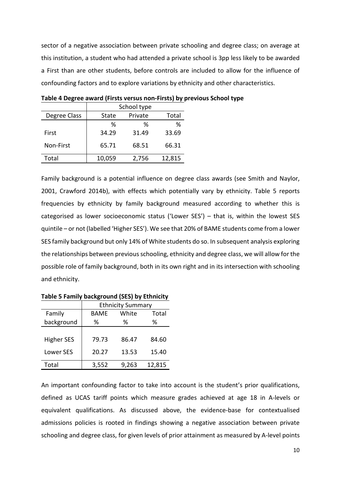sector of a negative association between private schooling and degree class; on average at this institution, a student who had attended a private school is 3pp less likely to be awarded a First than are other students, before controls are included to allow for the influence of confounding factors and to explore variations by ethnicity and other characteristics.

|              |        | School type |        |
|--------------|--------|-------------|--------|
| Degree Class | State  | Private     | Total  |
|              | ℅      | ℅           | %      |
| First        | 34.29  | 31.49       | 33.69  |
| Non-First    | 65.71  | 68.51       | 66.31  |
| Total        | 10,059 | 2,756       | 12,815 |

**Table 4 Degree award (Firsts versus non-Firsts) by previous School type** 

Family background is a potential influence on degree class awards (see Smith and Naylor, 2001, Crawford 2014b), with effects which potentially vary by ethnicity. Table 5 reports frequencies by ethnicity by family background measured according to whether this is categorised as lower socioeconomic status ('Lower SES') – that is, within the lowest SES quintile – or not (labelled 'Higher SES'). We see that 20% of BAME students come from a lower SES family background but only 14% of White students do so. In subsequent analysis exploring the relationships between previous schooling, ethnicity and degree class, we will allow for the possible role of family background, both in its own right and in its intersection with schooling and ethnicity.

|                   |       | <b>Ethnicity Summary</b> |        |
|-------------------|-------|--------------------------|--------|
| Family            | BAME  | White                    | Total  |
| background        | %     | ℅                        | %      |
|                   |       |                          |        |
| <b>Higher SES</b> | 79.73 | 86.47                    | 84.60  |
| Lower SES         | 20.27 | 13.53                    | 15.40  |
| Total             | 3,552 | 9,263                    | 12,815 |

**Table 5 Family background (SES) by Ethnicity**

An important confounding factor to take into account is the student's prior qualifications, defined as UCAS tariff points which measure grades achieved at age 18 in A-levels or equivalent qualifications. As discussed above, the evidence-base for contextualised admissions policies is rooted in findings showing a negative association between private schooling and degree class, for given levels of prior attainment as measured by A-level points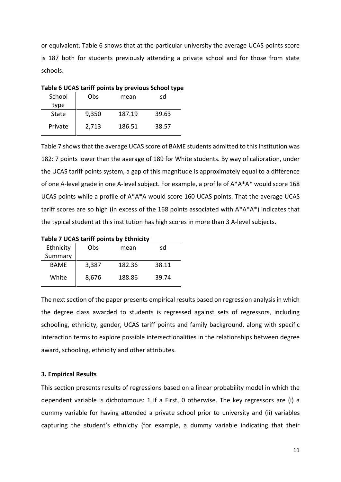or equivalent. Table 6 shows that at the particular university the average UCAS points score is 187 both for students previously attending a private school and for those from state schools.

| School  | Obs   | mean   | sd    |
|---------|-------|--------|-------|
| type    |       |        |       |
| State   | 9,350 | 187.19 | 39.63 |
| Private | 2,713 | 186.51 | 38.57 |

**Table 6 UCAS tariff points by previous School type** 

Table 7 shows that the average UCAS score of BAME students admitted to this institution was 182: 7 points lower than the average of 189 for White students. By way of calibration, under the UCAS tariff points system, a gap of this magnitude is approximately equal to a difference of one A-level grade in one A-level subject. For example, a profile of A\*A\*A\* would score 168 UCAS points while a profile of A\*A\*A would score 160 UCAS points. That the average UCAS tariff scores are so high (in excess of the 168 points associated with A\*A\*A\*) indicates that the typical student at this institution has high scores in more than 3 A-level subjects.

| Ethnicity<br>Summary | Obs   | mean   | sd    |
|----------------------|-------|--------|-------|
| <b>BAME</b>          | 3,387 | 182.36 | 38.11 |
| White                | 8,676 | 188.86 | 39.74 |

The next section of the paper presents empirical results based on regression analysis in which the degree class awarded to students is regressed against sets of regressors, including schooling, ethnicity, gender, UCAS tariff points and family background, along with specific interaction terms to explore possible intersectionalities in the relationships between degree award, schooling, ethnicity and other attributes.

#### **3. Empirical Results**

This section presents results of regressions based on a linear probability model in which the dependent variable is dichotomous: 1 if a First, 0 otherwise. The key regressors are (i) a dummy variable for having attended a private school prior to university and (ii) variables capturing the student's ethnicity (for example, a dummy variable indicating that their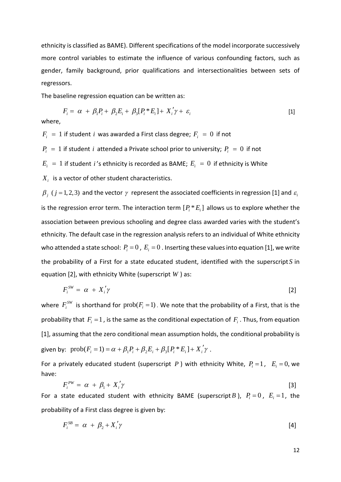ethnicity is classified as BAME). Different specifications of the model incorporate successively more control variables to estimate the influence of various confounding factors, such as gender, family background, prior qualifications and intersectionalities between sets of regressors.

The baseline regression equation can be written as:

$$
F_i = \alpha + \beta_1 P_i + \beta_2 E_i + \beta_3 [P_i * E_i] + X_i' \gamma + \varepsilon_i
$$
\n
$$
\tag{1}
$$

where,

 $F_i = 1$  if student *i* was awarded a First class degree;  $F_i = 0$  if not

 $P_i = 1$  if student *i* attended a Private school prior to university;  $P_i = 0$  if not

 $E_i = 1$  if student *i*'s ethnicity is recorded as BAME;  $E_i = 0$  if ethnicity is White

*Xi* is a vector of other student characteristics.

 $\beta_{j}$  ( $j$  = 1, 2, 3) and the vector  $\gamma$  represent the associated coefficients in regression [1] and  $\varepsilon_{i}$ is the regression error term. The interaction term  $[P_i * E_i]$  allows us to explore whether the association between previous schooling and degree class awarded varies with the student's ethnicity. The default case in the regression analysis refers to an individual of White ethnicity who attended a state school:  $P_i = 0$ ,  $E_i = 0$ . Inserting these values into equation [1], we write the probability of a First for a state educated student, identified with the superscript*S* in equation [2], with ethnicity White (superscript *W* ) as:

$$
F_i^{SW} = \alpha + X_i' \gamma \tag{2}
$$

where  $F_i^{SW}$  is shorthand for  $\text{prob}(F_i=1)$  . We note that the probability of a First, that is the probability that  $F_i = 1$ , is the same as the conditional expectation of  $F_i$ . Thus, from equation [1], assuming that the zero conditional mean assumption holds, the conditional probability is given by:  $prob(F_i = 1) = \alpha + \beta_1 P_i + \beta_2 E_i + \beta_3 [P_i * E_i] + X_i' \gamma$ .

For a privately educated student (superscript *P*) with ethnicity White,  $P_i = 1$ ,  $E_i = 0$ , we have:

$$
F_i^{PW} = \alpha + \beta_1 + X_i' \gamma \tag{3}
$$

For a state educated student with ethnicity BAME (superscript *B*),  $P_i = 0$ ,  $E_i = 1$ , the probability of a First class degree is given by:

$$
F_i^{SB} = \alpha + \beta_2 + X_i' \gamma \tag{4}
$$

12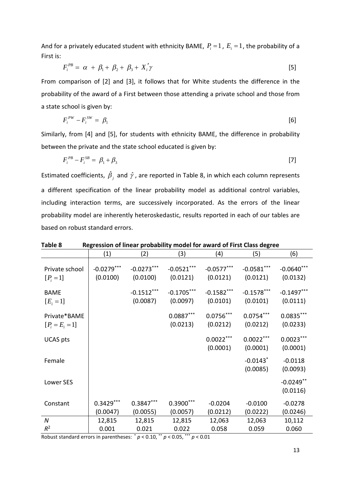And for a privately educated student with ethnicity BAME,  $P_i = 1$ ,  $E_i = 1$ , the probability of a First is:

$$
F_i^{PB} = \alpha + \beta_1 + \beta_2 + \beta_3 + X_i' \gamma
$$
 [5]

From comparison of [2] and [3], it follows that for White students the difference in the probability of the award of a First between those attending a private school and those from a state school is given by:

$$
F_i^{PW} - F_i^{SW} = \beta_1 \tag{6}
$$

Similarly, from [4] and [5], for students with ethnicity BAME, the difference in probability between the private and the state school educated is given by:

$$
F_i^{PB} - F_i^{SB} = \beta_1 + \beta_3 \tag{7}
$$

Estimated coefficients,  $\hat{\beta}_j$  and  $\hat{\gamma}$ , are reported in Table 8, in which each column represents a different specification of the linear probability model as additional control variables, including interaction terms, are successively incorporated. As the errors of the linear probability model are inherently heteroskedastic, results reported in each of our tables are based on robust standard errors.

| <b>LANIC O</b>                    |                          |                          |                          |                          | <u>Regression of inical probability modernor award of first class degree</u> |                           |
|-----------------------------------|--------------------------|--------------------------|--------------------------|--------------------------|------------------------------------------------------------------------------|---------------------------|
|                                   | (1)                      | (2)                      | (3)                      | (4)                      | (5)                                                                          | (6)                       |
| Private school<br>$[P_i = 1]$     | $-0.0279***$<br>(0.0100) | $-0.0273***$<br>(0.0100) | $-0.0521***$<br>(0.0121) | $-0.0577***$<br>(0.0121) | $-0.0581***$<br>(0.0121)                                                     | $-0.0640$ ***<br>(0.0132) |
| <b>BAME</b><br>$[E_{i} = 1]$      |                          | $-0.1512***$<br>(0.0087) | $-0.1705***$<br>(0.0097) | $-0.1582***$<br>(0.0101) | $-0.1578***$<br>(0.0101)                                                     | $-0.1497***$<br>(0.0111)  |
| Private*BAME<br>$[P_i = E_i = 1]$ |                          |                          | $0.0887***$<br>(0.0213)  | $0.0756***$<br>(0.0212)  | $0.0754***$<br>(0.0212)                                                      | $0.0835***$<br>(0.0233)   |
| <b>UCAS</b> pts                   |                          |                          |                          | $0.0022***$<br>(0.0001)  | $0.0022***$<br>(0.0001)                                                      | $0.0023***$<br>(0.0001)   |
| Female                            |                          |                          |                          |                          | $-0.0143$ <sup>*</sup><br>(0.0085)                                           | $-0.0118$<br>(0.0093)     |
| Lower SES                         |                          |                          |                          |                          |                                                                              | $-0.0249$ **<br>(0.0116)  |
| Constant                          | $0.3429***$<br>(0.0047)  | $0.3847***$<br>(0.0055)  | $0.3900***$<br>(0.0057)  | $-0.0204$<br>(0.0212)    | $-0.0100$<br>(0.0222)                                                        | $-0.0278$<br>(0.0246)     |
| $\boldsymbol{N}$                  | 12,815                   | 12,815                   | 12,815                   | 12,063                   | 12,063                                                                       | 10,112                    |
| $R^2$                             | 0.001                    | 0.021                    | 0.022                    | 0.058                    | 0.059                                                                        | 0.060                     |

**Table 8 Regression of linear probability model for award of First Class degree** 

Robust standard errors in parentheses:  $p < 0.10$ ,  $p < 0.05$ ,  $p < 0.01$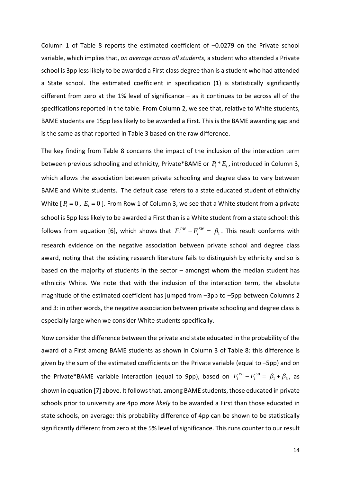Column 1 of Table 8 reports the estimated coefficient of –0.0279 on the Private school variable, which implies that, *on average across all students*, a student who attended a Private school is 3pp less likely to be awarded a First class degree than is a student who had attended a State school. The estimated coefficient in specification (1) is statistically significantly different from zero at the 1% level of significance – as it continues to be across all of the specifications reported in the table. From Column 2, we see that, relative to White students, BAME students are 15pp less likely to be awarded a First. This is the BAME awarding gap and is the same as that reported in Table 3 based on the raw difference.

The key finding from Table 8 concerns the impact of the inclusion of the interaction term between previous schooling and ethnicity, Private\*BAME or  $P_i * E_i$ , introduced in Column 3, which allows the association between private schooling and degree class to vary between BAME and White students. The default case refers to a state educated student of ethnicity White  $[P_i = 0, E_i = 0]$ . From Row 1 of Column 3, we see that a White student from a private school is 5pp less likely to be awarded a First than is a White student from a state school: this follows from equation [6], which shows that  $F_i^{PW} - F_i^{SW} = \beta_1$ . This result conforms with research evidence on the negative association between private school and degree class award, noting that the existing research literature fails to distinguish by ethnicity and so is based on the majority of students in the sector – amongst whom the median student has ethnicity White. We note that with the inclusion of the interaction term, the absolute magnitude of the estimated coefficient has jumped from –3pp to –5pp between Columns 2 and 3: in other words, the negative association between private schooling and degree class is especially large when we consider White students specifically.

Now consider the difference between the private and state educated in the probability of the award of a First among BAME students as shown in Column 3 of Table 8: this difference is given by the sum of the estimated coefficients on the Private variable (equal to –5pp) and on the Private\*BAME variable interaction (equal to 9pp), based on  $F_i^{PB} - F_i^{SB} = \beta_1 + \beta_3$ , as shown in equation [7] above. It follows that, among BAME students, those educated in private schools prior to university are 4pp *more likely* to be awarded a First than those educated in state schools, on average: this probability difference of 4pp can be shown to be statistically significantly different from zero at the 5% level of significance. This runs counter to our result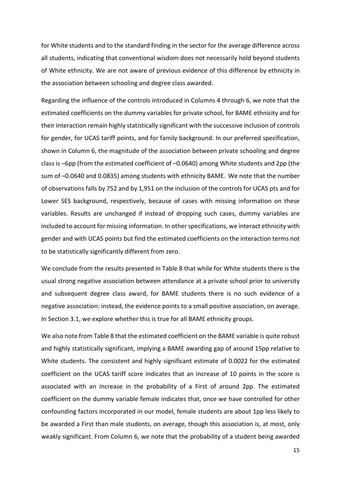for White students and to the standard finding in the sector for the average difference across all students, indicating that conventional wisdom does not necessarily hold beyond students of White ethnicity. We are not aware of previous evidence of this difference by ethnicity in the association between schooling and degree class awarded.

Regarding the influence of the controls introduced in Columns 4 through 6, we note that the estimated coefficients on the dummy variables for private school, for BAME ethnicity and for their interaction remain highly statistically significant with the successive inclusion of controls for gender, for UCAS tariff points, and for family background. In our preferred specification, shown in Column 6, the magnitude of the association between private schooling and degree class is –6pp (from the estimated coefficient of –0.0640) among White students and 2pp (the sum of –0.0640 and 0.0835) among students with ethnicity BAME. We note that the number of observations falls by 752 and by 1,951 on the inclusion of the controls for UCAS pts and for Lower SES background, respectively, because of cases with missing information on these variables. Results are unchanged if instead of dropping such cases, dummy variables are included to account for missing information. In other specifications, we interact ethnicity with gender and with UCAS points but find the estimated coefficients on the interaction terms not to be statistically significantly different from zero.

We conclude from the results presented in Table 8 that while for White students there is the usual strong negative association between attendance at a private school prior to university and subsequent degree class award, for BAME students there is no such evidence of a negative association: instead, the evidence points to a small positive association, on average. In Section 3.1, we explore whether this is true for all BAME ethnicity groups.

We also note from Table 8 that the estimated coefficient on the BAME variable is quite robust and highly statistically significant, implying a BAME awarding gap of around 15pp relative to White students. The consistent and highly significant estimate of 0.0022 for the estimated coefficient on the UCAS tariff score indicates that an increase of 10 points in the score is associated with an increase in the probability of a First of around 2pp. The estimated coefficient on the dummy variable female indicates that, once we have controlled for other confounding factors incorporated in our model, female students are about 1pp less likely to be awarded a First than male students, on average, though this association is, at most, only weakly significant. From Column 6, we note that the probability of a student being awarded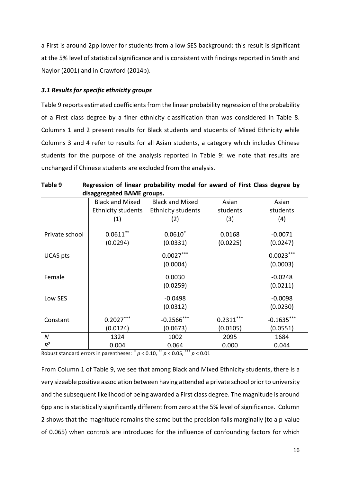a First is around 2pp lower for students from a low SES background: this result is significant at the 5% level of statistical significance and is consistent with findings reported in Smith and Naylor (2001) and in Crawford (2014b).

#### *3.1 Results for specific ethnicity groups*

Table 9 reports estimated coefficients from the linear probability regression of the probability of a First class degree by a finer ethnicity classification than was considered in Table 8. Columns 1 and 2 present results for Black students and students of Mixed Ethnicity while Columns 3 and 4 refer to results for all Asian students, a category which includes Chinese students for the purpose of the analysis reported in Table 9: we note that results are unchanged if Chinese students are excluded from the analysis.

|                 | disaggregated BAME groups. |                           |                    |                         |
|-----------------|----------------------------|---------------------------|--------------------|-------------------------|
|                 | <b>Black and Mixed</b>     | <b>Black and Mixed</b>    | Asian              | Asian                   |
|                 | Ethnicity students         | <b>Ethnicity students</b> | students           | students                |
|                 | (1)                        | (2)                       | (3)                | (4)                     |
| Private school  | $0.0611***$<br>(0.0294)    | $0.0610*$<br>(0.0331)     | 0.0168<br>(0.0225) | $-0.0071$<br>(0.0247)   |
| <b>UCAS</b> pts |                            | $0.0027***$<br>(0.0004)   |                    | $0.0023***$<br>(0.0003) |
| Female          |                            | 0.0030<br>(0.0259)        |                    | $-0.0248$<br>(0.0211)   |
| Low SES         |                            | $-0.0498$<br>(0.0312)     |                    | $-0.0098$<br>(0.0230)   |
| Constant        | $0.2027***$                | $-0.2566$ ***             | $0.2311***$        | $-0.1635***$            |
|                 | (0.0124)                   | (0.0673)                  | (0.0105)           | (0.0551)                |
| N               | 1324                       | 1002                      | 2095               | 1684                    |
| $R^2$           | 0.004                      | 0.064                     | 0.000              | 0.044                   |

**Table 9 Regression of linear probability model for award of First Class degree by** 

Robust standard errors in parentheses:  $p < 0.10$ ,  $\rightarrow p < 0.05$ ,  $\rightarrow p < 0.01$ 

From Column 1 of Table 9, we see that among Black and Mixed Ethnicity students, there is a very sizeable positive association between having attended a private school prior to university and the subsequent likelihood of being awarded a First class degree. The magnitude is around 6pp and is statistically significantly different from zero at the 5% level of significance. Column 2 shows that the magnitude remains the same but the precision falls marginally (to a p-value of 0.065) when controls are introduced for the influence of confounding factors for which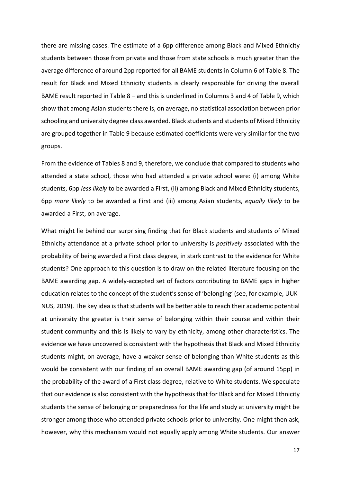there are missing cases. The estimate of a 6pp difference among Black and Mixed Ethnicity students between those from private and those from state schools is much greater than the average difference of around 2pp reported for all BAME students in Column 6 of Table 8. The result for Black and Mixed Ethnicity students is clearly responsible for driving the overall BAME result reported in Table 8 – and this is underlined in Columns 3 and 4 of Table 9, which show that among Asian students there is, on average, no statistical association between prior schooling and university degree class awarded. Black students and students of Mixed Ethnicity are grouped together in Table 9 because estimated coefficients were very similar for the two groups.

From the evidence of Tables 8 and 9, therefore, we conclude that compared to students who attended a state school, those who had attended a private school were: (i) among White students, 6pp *less likely* to be awarded a First, (ii) among Black and Mixed Ethnicity students, 6pp *more likely* to be awarded a First and (iii) among Asian students, *equally likely* to be awarded a First, on average.

What might lie behind our surprising finding that for Black students and students of Mixed Ethnicity attendance at a private school prior to university is *positively* associated with the probability of being awarded a First class degree, in stark contrast to the evidence for White students? One approach to this question is to draw on the related literature focusing on the BAME awarding gap. A widely-accepted set of factors contributing to BAME gaps in higher education relates to the concept of the student's sense of 'belonging' (see, for example, UUK-NUS, 2019). The key idea is that students will be better able to reach their academic potential at university the greater is their sense of belonging within their course and within their student community and this is likely to vary by ethnicity, among other characteristics. The evidence we have uncovered is consistent with the hypothesis that Black and Mixed Ethnicity students might, on average, have a weaker sense of belonging than White students as this would be consistent with our finding of an overall BAME awarding gap (of around 15pp) in the probability of the award of a First class degree, relative to White students. We speculate that our evidence is also consistent with the hypothesis that for Black and for Mixed Ethnicity students the sense of belonging or preparedness for the life and study at university might be stronger among those who attended private schools prior to university. One might then ask, however, why this mechanism would not equally apply among White students. Our answer

17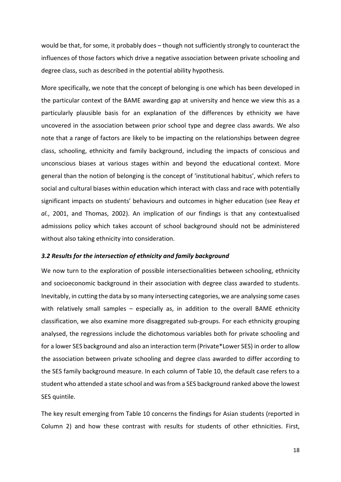would be that, for some, it probably does – though not sufficiently strongly to counteract the influences of those factors which drive a negative association between private schooling and degree class, such as described in the potential ability hypothesis.

More specifically, we note that the concept of belonging is one which has been developed in the particular context of the BAME awarding gap at university and hence we view this as a particularly plausible basis for an explanation of the differences by ethnicity we have uncovered in the association between prior school type and degree class awards. We also note that a range of factors are likely to be impacting on the relationships between degree class, schooling, ethnicity and family background, including the impacts of conscious and unconscious biases at various stages within and beyond the educational context. More general than the notion of belonging is the concept of 'institutional habitus', which refers to social and cultural biases within education which interact with class and race with potentially significant impacts on students' behaviours and outcomes in higher education (see Reay *et al.*, 2001, and Thomas, 2002). An implication of our findings is that any contextualised admissions policy which takes account of school background should not be administered without also taking ethnicity into consideration.

#### *3.2 Results for the intersection of ethnicity and family background*

We now turn to the exploration of possible intersectionalities between schooling, ethnicity and socioeconomic background in their association with degree class awarded to students. Inevitably, in cutting the data by so many intersecting categories, we are analysing some cases with relatively small samples – especially as, in addition to the overall BAME ethnicity classification, we also examine more disaggregated sub-groups. For each ethnicity grouping analysed, the regressions include the dichotomous variables both for private schooling and for a lower SES background and also an interaction term (Private\*Lower SES) in order to allow the association between private schooling and degree class awarded to differ according to the SES family background measure. In each column of Table 10, the default case refers to a student who attended a state school and was from a SES background ranked above the lowest SES quintile.

The key result emerging from Table 10 concerns the findings for Asian students (reported in Column 2) and how these contrast with results for students of other ethnicities. First,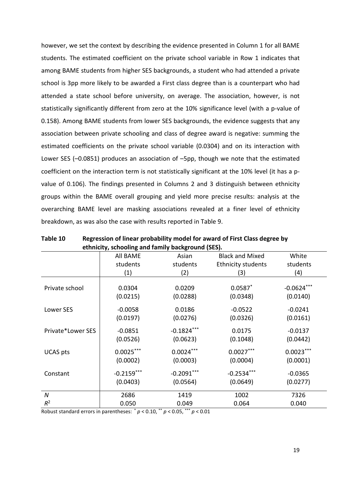however, we set the context by describing the evidence presented in Column 1 for all BAME students. The estimated coefficient on the private school variable in Row 1 indicates that among BAME students from higher SES backgrounds, a student who had attended a private school is 3pp more likely to be awarded a First class degree than is a counterpart who had attended a state school before university, on average. The association, however, is not statistically significantly different from zero at the 10% significance level (with a p-value of 0.158). Among BAME students from lower SES backgrounds, the evidence suggests that any association between private schooling and class of degree award is negative: summing the estimated coefficients on the private school variable (0.0304) and on its interaction with Lower SES (–0.0851) produces an association of –5pp, though we note that the estimated coefficient on the interaction term is not statistically significant at the 10% level (it has a pvalue of 0.106). The findings presented in Columns 2 and 3 distinguish between ethnicity groups within the BAME overall grouping and yield more precise results: analysis at the overarching BAME level are masking associations revealed at a finer level of ethnicity breakdown, as was also the case with results reported in Table 9.

|                   | ethnicity, schooling and family background (SES). |                          |                           |                          |
|-------------------|---------------------------------------------------|--------------------------|---------------------------|--------------------------|
|                   | All BAME                                          | Asian                    | <b>Black and Mixed</b>    | White                    |
|                   | students                                          | students                 | <b>Ethnicity students</b> | students                 |
|                   | (1)                                               | (2)                      | (3)                       | (4)                      |
| Private school    | 0.0304<br>(0.0215)                                | 0.0209<br>(0.0288)       | $0.0587$ *<br>(0.0348)    | $-0.0624***$<br>(0.0140) |
| Lower SES         | $-0.0058$<br>(0.0197)                             | 0.0186<br>(0.0276)       | $-0.0522$<br>(0.0326)     | $-0.0241$<br>(0.0161)    |
| Private*Lower SES | $-0.0851$<br>(0.0526)                             | $-0.1824***$<br>(0.0623) | 0.0175<br>(0.1048)        | $-0.0137$<br>(0.0442)    |
| <b>UCAS</b> pts   | $0.0025***$<br>(0.0002)                           | $0.0024***$<br>(0.0003)  | $0.0027***$<br>(0.0004)   | $0.0023***$<br>(0.0001)  |
| Constant          | $-0.2159***$<br>(0.0403)                          | $-0.2091***$<br>(0.0564) | $-0.2534***$<br>(0.0649)  | $-0.0365$<br>(0.0277)    |
| $\boldsymbol{N}$  | 2686                                              | 1419                     | 1002                      | 7326                     |
| $R^2$             | 0.050                                             | 0.049                    | 0.064                     | 0.040                    |

| Table 10 | Regression of linear probability model for award of First Class degree by |
|----------|---------------------------------------------------------------------------|
|          | ethnicity, schooling and family background (SES).                         |

Robust standard errors in parentheses:  $p < 0.10$ ,  $\frac{p}{p} < 0.05$ ,  $\frac{p}{p} < 0.01$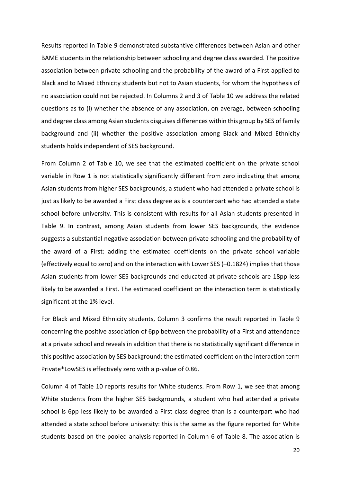Results reported in Table 9 demonstrated substantive differences between Asian and other BAME students in the relationship between schooling and degree class awarded. The positive association between private schooling and the probability of the award of a First applied to Black and to Mixed Ethnicity students but not to Asian students, for whom the hypothesis of no association could not be rejected. In Columns 2 and 3 of Table 10 we address the related questions as to (i) whether the absence of any association, on average, between schooling and degree class among Asian students disguises differences within this group by SES of family background and (ii) whether the positive association among Black and Mixed Ethnicity students holds independent of SES background.

From Column 2 of Table 10, we see that the estimated coefficient on the private school variable in Row 1 is not statistically significantly different from zero indicating that among Asian students from higher SES backgrounds, a student who had attended a private school is just as likely to be awarded a First class degree as is a counterpart who had attended a state school before university. This is consistent with results for all Asian students presented in Table 9. In contrast, among Asian students from lower SES backgrounds, the evidence suggests a substantial negative association between private schooling and the probability of the award of a First: adding the estimated coefficients on the private school variable (effectively equal to zero) and on the interaction with Lower SES (–0.1824) implies that those Asian students from lower SES backgrounds and educated at private schools are 18pp less likely to be awarded a First. The estimated coefficient on the interaction term is statistically significant at the 1% level.

For Black and Mixed Ethnicity students, Column 3 confirms the result reported in Table 9 concerning the positive association of 6pp between the probability of a First and attendance at a private school and reveals in addition that there is no statistically significant difference in this positive association by SES background: the estimated coefficient on the interaction term Private\*LowSES is effectively zero with a p-value of 0.86.

Column 4 of Table 10 reports results for White students. From Row 1, we see that among White students from the higher SES backgrounds, a student who had attended a private school is 6pp less likely to be awarded a First class degree than is a counterpart who had attended a state school before university: this is the same as the figure reported for White students based on the pooled analysis reported in Column 6 of Table 8. The association is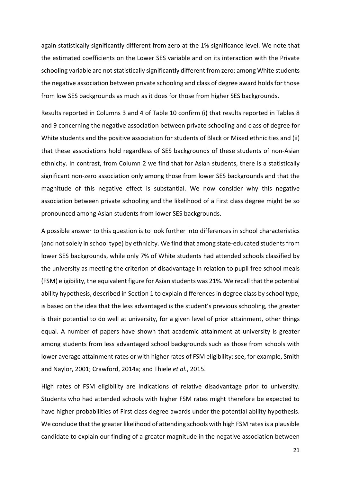again statistically significantly different from zero at the 1% significance level. We note that the estimated coefficients on the Lower SES variable and on its interaction with the Private schooling variable are not statistically significantly different from zero: among White students the negative association between private schooling and class of degree award holds for those from low SES backgrounds as much as it does for those from higher SES backgrounds.

Results reported in Columns 3 and 4 of Table 10 confirm (i) that results reported in Tables 8 and 9 concerning the negative association between private schooling and class of degree for White students and the positive association for students of Black or Mixed ethnicities and (ii) that these associations hold regardless of SES backgrounds of these students of non-Asian ethnicity. In contrast, from Column 2 we find that for Asian students, there is a statistically significant non-zero association only among those from lower SES backgrounds and that the magnitude of this negative effect is substantial. We now consider why this negative association between private schooling and the likelihood of a First class degree might be so pronounced among Asian students from lower SES backgrounds.

A possible answer to this question is to look further into differences in school characteristics (and not solely in school type) by ethnicity. We find that among state-educated students from lower SES backgrounds, while only 7% of White students had attended schools classified by the university as meeting the criterion of disadvantage in relation to pupil free school meals (FSM) eligibility, the equivalent figure for Asian students was 21%. We recall that the potential ability hypothesis, described in Section 1 to explain differences in degree class by school type, is based on the idea that the less advantaged is the student's previous schooling, the greater is their potential to do well at university, for a given level of prior attainment, other things equal. A number of papers have shown that academic attainment at university is greater among students from less advantaged school backgrounds such as those from schools with lower average attainment rates or with higher rates of FSM eligibility: see, for example, Smith and Naylor, 2001; Crawford, 2014a; and Thiele *et al*., 2015.

High rates of FSM eligibility are indications of relative disadvantage prior to university. Students who had attended schools with higher FSM rates might therefore be expected to have higher probabilities of First class degree awards under the potential ability hypothesis. We conclude that the greater likelihood of attending schools with high FSM rates is a plausible candidate to explain our finding of a greater magnitude in the negative association between

21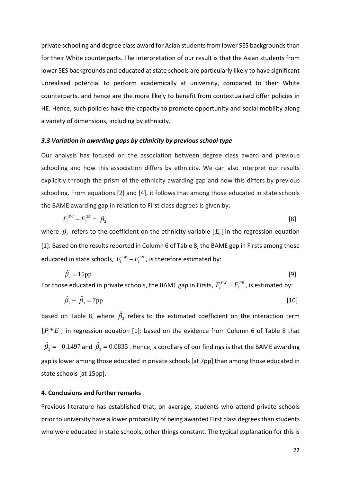private schooling and degree class award for Asian students from lower SES backgrounds than for their White counterparts. The interpretation of our result is that the Asian students from lower SES backgrounds and educated at state schools are particularly likely to have significant unrealised potential to perform academically at university, compared to their White counterparts, and hence are the more likely to benefit from contextualised offer policies in HE. Hence, such policies have the capacity to promote opportunity and social mobility along a variety of dimensions, including by ethnicity.

#### *3.3 Variation in awarding gaps by ethnicity by previous school type*

Our analysis has focused on the association between degree class award and previous schooling and how this association differs by ethnicity. We can also interpret our results explicitly through the prism of the ethnicity awarding gap and how this differs by previous schooling. From equations [2] and [4], it follows that among those educated in state schools the BAME awarding gap in relation to First class degrees is given by:

$$
F_i^{SW} - F_i^{SB} = \beta_2 \tag{8}
$$

where  $\beta_2$  refers to the coefficient on the ethnicity variable  $[E_i]$  in the regression equation [1]. Based on the results reported in Column 6 of Table 8, the BAME gap in Firsts among those educated in state schools,  $F_i^{SW} - F_i^{SB}$ *SW*  $F_i^{SW} - F_i^{SB}$  , is therefore estimated by:

$$
\hat{\beta}_2 = 15 \,\text{pp} \tag{9}
$$

For those educated in private schools, the BAME gap in Firsts,  $F_i^{PW} - F_i^{PB}$ *PW*  $F_i^{PW} - F_i^{PB}$  , is estimated by:

$$
\hat{\beta}_2 + \hat{\beta}_3 = 7 \text{pp} \tag{10}
$$

based on Table 8, where  $\hat{\beta}_3$  refers to the estimated coefficient on the interaction term  $[P_i * E_i]$  in regression equation [1]: based on the evidence from Column 6 of Table 8 that  $\hat{\beta_{_2}}$  =  $-0.1497$  and  $\,\hat{\beta_{_3}}$  =  $0.0835$  . Hence, a corollary of our findings is that the BAME awarding gap is lower among those educated in private schools [at 7pp] than among those educated in state schools [at 15pp].

#### **4. Conclusions and further remarks**

Previous literature has established that, on average, students who attend private schools prior to university have a lower probability of being awarded First class degrees than students who were educated in state schools, other things constant. The typical explanation for this is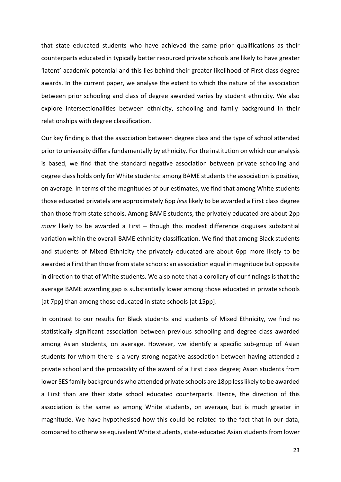that state educated students who have achieved the same prior qualifications as their counterparts educated in typically better resourced private schools are likely to have greater 'latent' academic potential and this lies behind their greater likelihood of First class degree awards. In the current paper, we analyse the extent to which the nature of the association between prior schooling and class of degree awarded varies by student ethnicity. We also explore intersectionalities between ethnicity, schooling and family background in their relationships with degree classification.

Our key finding is that the association between degree class and the type of school attended prior to university differs fundamentally by ethnicity. For the institution on which our analysis is based, we find that the standard negative association between private schooling and degree class holds only for White students: among BAME students the association is positive, on average. In terms of the magnitudes of our estimates, we find that among White students those educated privately are approximately 6pp *less* likely to be awarded a First class degree than those from state schools. Among BAME students, the privately educated are about 2pp *more* likely to be awarded a First – though this modest difference disguises substantial variation within the overall BAME ethnicity classification. We find that among Black students and students of Mixed Ethnicity the privately educated are about 6pp more likely to be awarded a First than those from state schools: an association equal in magnitude but opposite in direction to that of White students. We also note that a corollary of our findings is that the average BAME awarding gap is substantially lower among those educated in private schools [at 7pp] than among those educated in state schools [at 15pp].

In contrast to our results for Black students and students of Mixed Ethnicity, we find no statistically significant association between previous schooling and degree class awarded among Asian students, on average. However, we identify a specific sub-group of Asian students for whom there is a very strong negative association between having attended a private school and the probability of the award of a First class degree; Asian students from lower SES family backgrounds who attended private schools are 18pp less likely to be awarded a First than are their state school educated counterparts. Hence, the direction of this association is the same as among White students, on average, but is much greater in magnitude. We have hypothesised how this could be related to the fact that in our data, compared to otherwise equivalent White students, state-educated Asian students from lower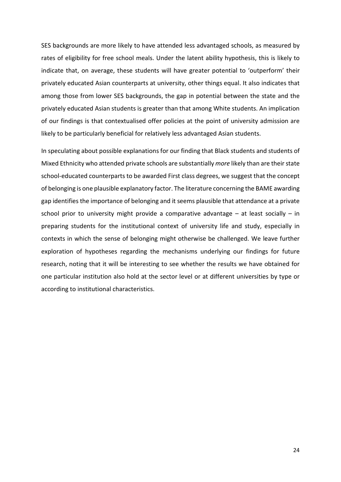SES backgrounds are more likely to have attended less advantaged schools, as measured by rates of eligibility for free school meals. Under the latent ability hypothesis, this is likely to indicate that, on average, these students will have greater potential to 'outperform' their privately educated Asian counterparts at university, other things equal. It also indicates that among those from lower SES backgrounds, the gap in potential between the state and the privately educated Asian students is greater than that among White students. An implication of our findings is that contextualised offer policies at the point of university admission are likely to be particularly beneficial for relatively less advantaged Asian students.

In speculating about possible explanations for our finding that Black students and students of Mixed Ethnicity who attended private schools are substantially *more* likely than are their state school-educated counterparts to be awarded First class degrees, we suggest that the concept of belonging is one plausible explanatory factor. The literature concerning the BAME awarding gap identifies the importance of belonging and it seems plausible that attendance at a private school prior to university might provide a comparative advantage  $-$  at least socially  $-$  in preparing students for the institutional context of university life and study, especially in contexts in which the sense of belonging might otherwise be challenged. We leave further exploration of hypotheses regarding the mechanisms underlying our findings for future research, noting that it will be interesting to see whether the results we have obtained for one particular institution also hold at the sector level or at different universities by type or according to institutional characteristics.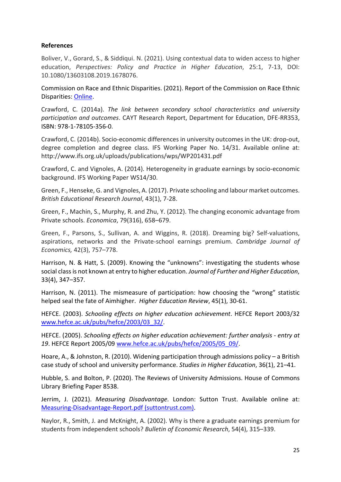#### **References**

Boliver, V., Gorard, S., & Siddiqui. N. (2021). Using contextual data to widen access to higher education, *Perspectives: Policy and Practice in Higher Education*, 25:1, 7-13, DOI: [10.1080/13603108.2019.1678076.](https://doi.org/10.1080/13603108.2019.1678076)

Commission on Race and Ethnic Disparities. (2021). Report of the Commission on Race Ethnic Disparities: [Online.](https://www.gov.uk/government/publications/the-report-of-the-commission-on-race-and-ethnic-disparities)

Crawford, C. (2014a). *The link between secondary school characteristics and university participation and outcomes*. CAYT Research Report, Department for Education, DFE-RR353, ISBN: 978-1-78105-356-0.

Crawford, C. (2014b). Socio-economic differences in university outcomes in the UK: drop-out, degree completion and degree class. IFS Working Paper No. 14/31. Available online at: http://www.ifs.org.uk/uploads/publications/wps/WP201431.pdf

Crawford, C. and Vignoles, A. (2014). Heterogeneity in graduate earnings by socio-economic background. IFS Working Paper WS14/30.

Green, F., Henseke, G. and Vignoles, A. (2017). Private schooling and labour market outcomes. *British Educational Research Journal*, 43(1), 7-28.

Green, F., Machin, S., Murphy, R. and Zhu, Y. (2012). The changing economic advantage from Private schools. *Economica*, 79(316), 658–679.

Green, F., Parsons, S., Sullivan, A. and Wiggins, R. (2018). Dreaming big? Self-valuations, aspirations, networks and the Private-school earnings premium. *Cambridge Journal of Economics,* 42(3), 757–778.

Harrison, N. & Hatt, S. (2009). Knowing the "unknowns": investigating the students whose social class is not known at entry to higher education. *Journal of Further and Higher Education*, 33(4), 347–357.

Harrison, N. (2011). The mismeasure of participation: how choosing the "wrong" statistic helped seal the fate of Aimhigher. *Higher Education Review*, 45(1), 30-61.

HEFCE. (2003). *Schooling effects on higher education achievement*. HEFCE Report 2003/32 [www.hefce.ac.uk/pubs/hefce/2003/03\\_32/.](http://www.hefce.ac.uk/pubs/hefce/2003/03_32/)

HEFCE. (2005). *Schooling effects on higher education achievement: further analysis - entry at 19*. HEFCE Report 2005/09 [www.hefce.ac.uk/pubs/hefce/2005/05\\_09/](http://www.hefce.ac.uk/pubs/hefce/2005/05_09/).

Hoare, A., & Johnston, R. (2010). Widening participation through admissions policy – a British case study of school and university performance. *Studies in Higher Education*, 36(1), 21–41.

Hubble, S. and Bolton, P. (2020). The Reviews of University Admissions. House of Commons Library Briefing Paper 8538.

Jerrim, J. (2021). *Measuring Disadvantage.* London: Sutton Trust. Available online at: [Measuring-Disadvantage-Report.pdf \(suttontrust.com\).](https://www.suttontrust.com/wp-content/uploads/2021/05/Measuring-Disadvantage-Report.pdf)

Naylor, R., Smith, J. and McKnight, A. (2002). Why is there a graduate earnings premium for students from independent schools? *Bulletin of Economic Research*, 54(4), 315–339.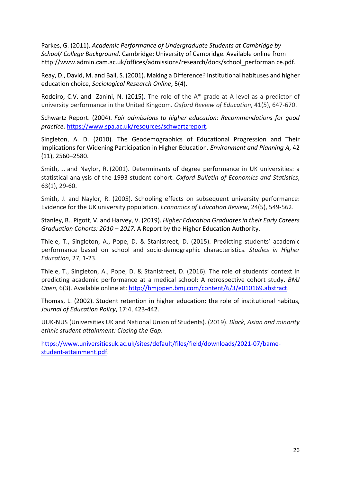Parkes, G. (2011). *Academic Performance of Undergraduate Students at Cambridge by School/ College Background*. Cambridge: University of Cambridge. Available online from http://www.admin.cam.ac.uk/offices/admissions/research/docs/school\_performan ce.pdf.

Reay, D., David, M. and Ball, S. (2001). Making a Difference? Institutional habituses and higher education choice, *Sociological Research Online*, 5(4).

[Rodeiro,](https://www.tandfonline.com/author/Vidal+Rodeiro%2C+Carmen) C.V. and [Zanini,](https://www.tandfonline.com/author/Zanini%2C+Nadir) N. (2015). The role of the A\* grade at A level as a predictor of university performance in the United Kingdom. *Oxford Review of Education*, 41(5), 647-670.

Schwartz Report. (2004). *Fair admissions to higher education: Recommendations for good practice*[. https://www.spa.ac.uk/resources/schwartzreport.](https://www.spa.ac.uk/resources/schwartzreport)

Singleton, A. D. (2010). The Geodemographics of Educational Progression and Their Implications for Widening Participation in Higher Education. *Environment and Planning A*, 42 (11), 2560–2580.

Smith, J. and Naylor, R. (2001). Determinants of degree performance in UK universities: a statistical analysis of the 1993 student cohort. *Oxford Bulletin of Economics and Statistics*, 63(1), 29-60.

Smith, J. and Naylor, R. (2005). Schooling effects on subsequent university performance: Evidence for the UK university population. *Economics of Education Review*, 24(5), 549-562.

Stanley, B., Pigott, V. and Harvey, V. (2019). *Higher Education Graduates in their Early Careers Graduation Cohorts: 2010 – 2017*. A Report by the Higher Education Authority.

Thiele, T., Singleton, A., Pope, D. & Stanistreet, D. (2015). Predicting students' academic performance based on school and socio-demographic characteristics. *Studies in Higher Education*, 27, 1-23.

Thiele, T., Singleton, A., Pope, D. & Stanistreet, D. (2016). The role of students' context in predicting academic performance at a medical school: A retrospective cohort study. *BMJ Open,* 6(3). Available online at[: http://bmjopen.bmj.com/content/6/3/e010169.abstract.](http://bmjopen.bmj.com/content/6/3/e010169.abstract)

Thomas, L. (2002). Student retention in higher education: the role of institutional habitus, *Journal of Education Policy*, 17:4, 423-442.

UUK-NUS (Universities UK and National Union of Students). (2019). *Black, Asian and minority ethnic student attainment: Closing the Gap*.

[https://www.universitiesuk.ac.uk/sites/default/files/field/downloads/2021-07/bame](https://www.universitiesuk.ac.uk/sites/default/files/field/downloads/2021-07/bame-student-attainment.pdf)[student-attainment.pdf.](https://www.universitiesuk.ac.uk/sites/default/files/field/downloads/2021-07/bame-student-attainment.pdf)